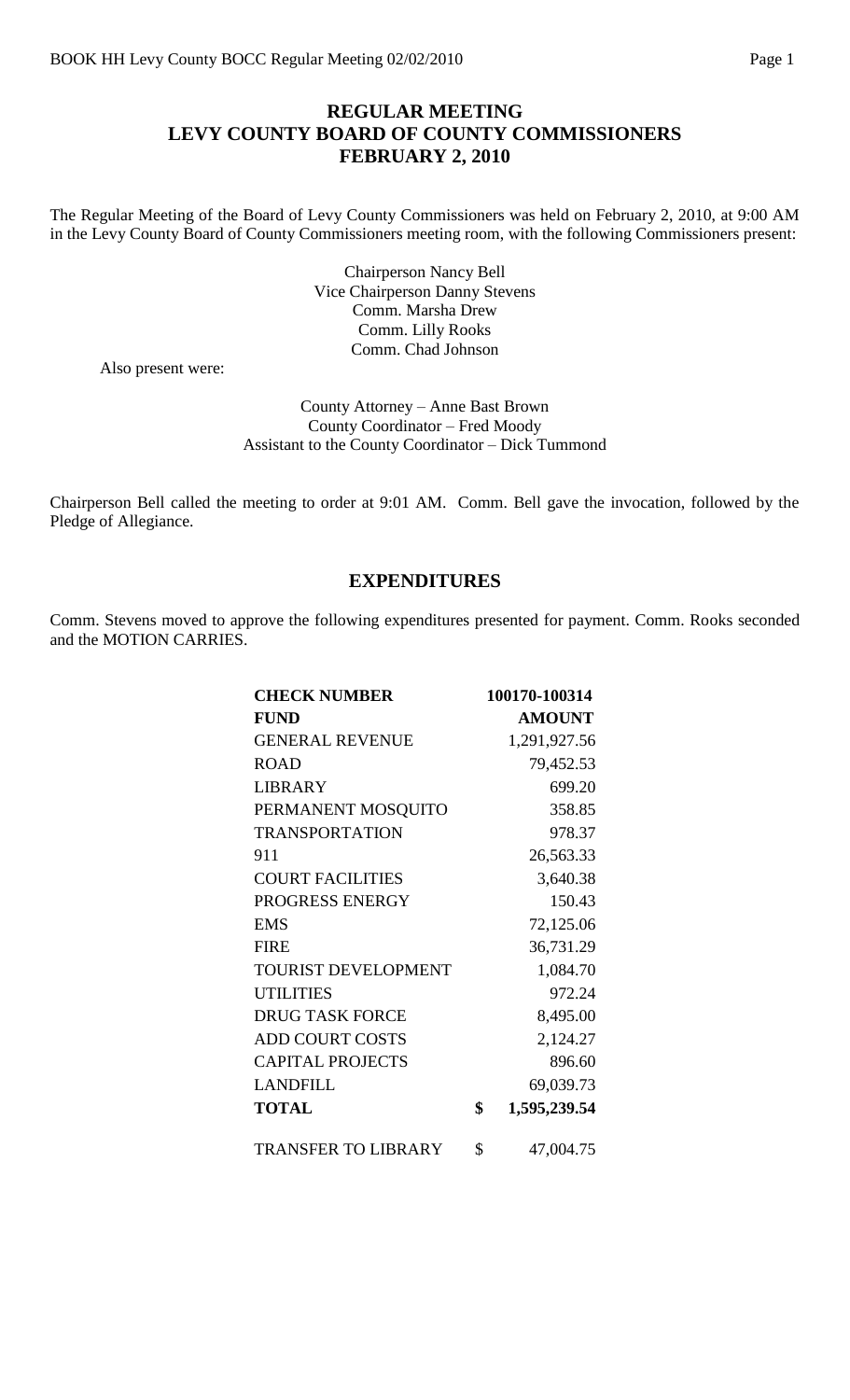## **REGULAR MEETING LEVY COUNTY BOARD OF COUNTY COMMISSIONERS FEBRUARY 2, 2010**

The Regular Meeting of the Board of Levy County Commissioners was held on February 2, 2010, at 9:00 AM in the Levy County Board of County Commissioners meeting room, with the following Commissioners present:

> Chairperson Nancy Bell Vice Chairperson Danny Stevens Comm. Marsha Drew Comm. Lilly Rooks Comm. Chad Johnson

Also present were:

County Attorney – Anne Bast Brown County Coordinator – Fred Moody Assistant to the County Coordinator – Dick Tummond

Chairperson Bell called the meeting to order at 9:01 AM. Comm. Bell gave the invocation, followed by the Pledge of Allegiance.

### **EXPENDITURES**

Comm. Stevens moved to approve the following expenditures presented for payment. Comm. Rooks seconded and the MOTION CARRIES.

| <b>CHECK NUMBER</b>        | 100170-100314      |
|----------------------------|--------------------|
| <b>FUND</b>                | <b>AMOUNT</b>      |
| <b>GENERAL REVENUE</b>     | 1,291,927.56       |
| <b>ROAD</b>                | 79,452.53          |
| <b>LIBRARY</b>             | 699.20             |
| PERMANENT MOSQUITO         | 358.85             |
| <b>TRANSPORTATION</b>      | 978.37             |
| 911                        | 26,563.33          |
| <b>COURT FACILITIES</b>    | 3,640.38           |
| PROGRESS ENERGY            | 150.43             |
| <b>EMS</b>                 | 72,125.06          |
| <b>FIRE</b>                | 36,731.29          |
| TOURIST DEVELOPMENT        | 1,084.70           |
| <b>UTILITIES</b>           | 972.24             |
| <b>DRUG TASK FORCE</b>     | 8,495.00           |
| <b>ADD COURT COSTS</b>     | 2,124.27           |
| <b>CAPITAL PROJECTS</b>    | 896.60             |
| <b>LANDFILL</b>            | 69,039.73          |
| <b>TOTAL</b>               | \$<br>1,595,239.54 |
| <b>TRANSFER TO LIBRARY</b> | \$<br>47,004.75    |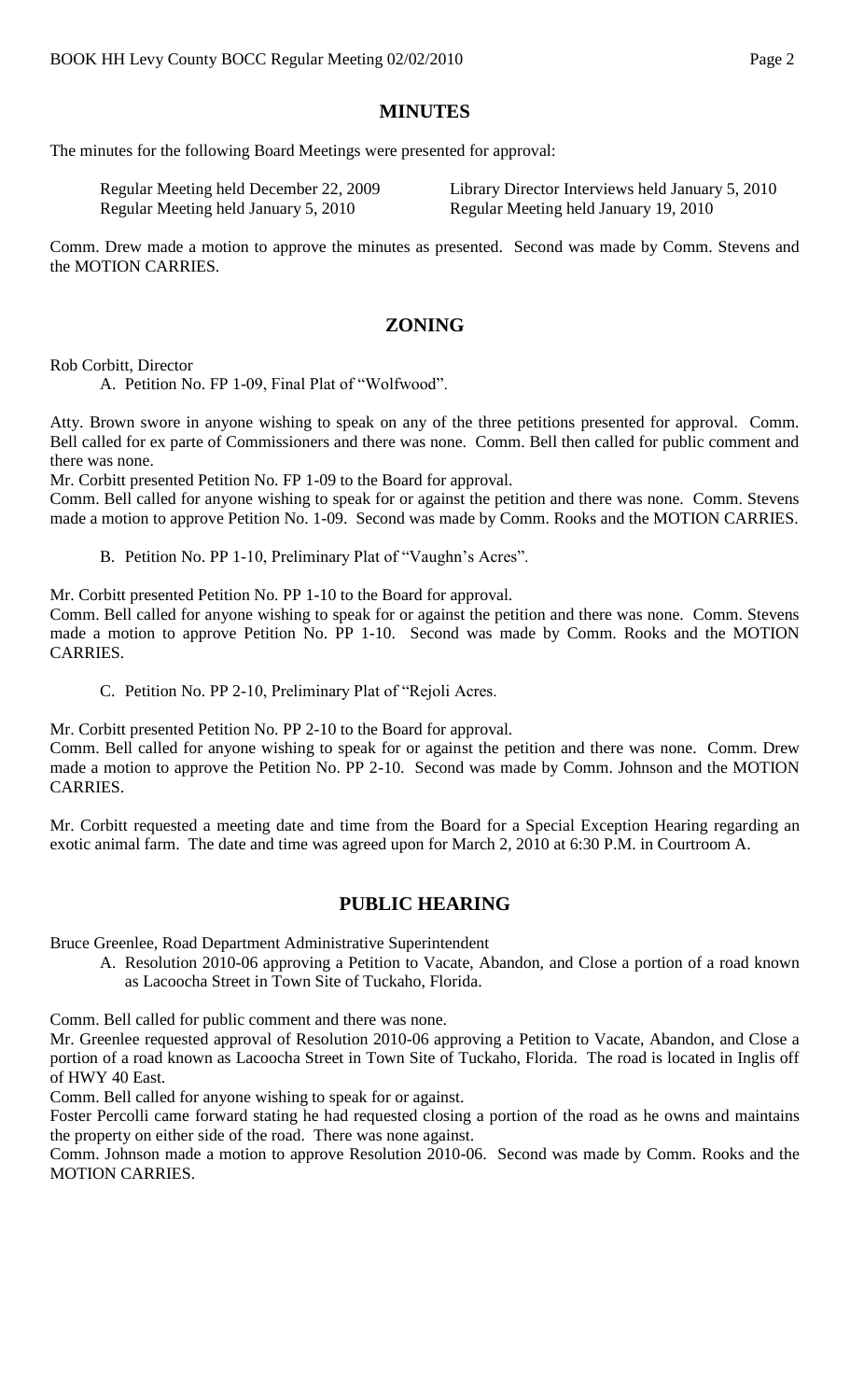## **MINUTES**

The minutes for the following Board Meetings were presented for approval:

| Regular Meeting held December 22, 2009 | Library Director Interviews held January 5, 2010 |
|----------------------------------------|--------------------------------------------------|
| Regular Meeting held January 5, 2010   | Regular Meeting held January 19, 2010            |

Comm. Drew made a motion to approve the minutes as presented. Second was made by Comm. Stevens and the MOTION CARRIES.

## **ZONING**

Rob Corbitt, Director

A. Petition No. FP 1-09, Final Plat of "Wolfwood".

Atty. Brown swore in anyone wishing to speak on any of the three petitions presented for approval. Comm. Bell called for ex parte of Commissioners and there was none. Comm. Bell then called for public comment and there was none.

Mr. Corbitt presented Petition No. FP 1-09 to the Board for approval.

Comm. Bell called for anyone wishing to speak for or against the petition and there was none. Comm. Stevens made a motion to approve Petition No. 1-09. Second was made by Comm. Rooks and the MOTION CARRIES.

B. Petition No. PP 1-10, Preliminary Plat of "Vaughn's Acres".

Mr. Corbitt presented Petition No. PP 1-10 to the Board for approval.

Comm. Bell called for anyone wishing to speak for or against the petition and there was none. Comm. Stevens made a motion to approve Petition No. PP 1-10. Second was made by Comm. Rooks and the MOTION CARRIES.

C. Petition No. PP 2-10, Preliminary Plat of "Rejoli Acres.

Mr. Corbitt presented Petition No. PP 2-10 to the Board for approval.

Comm. Bell called for anyone wishing to speak for or against the petition and there was none. Comm. Drew made a motion to approve the Petition No. PP 2-10. Second was made by Comm. Johnson and the MOTION CARRIES.

Mr. Corbitt requested a meeting date and time from the Board for a Special Exception Hearing regarding an exotic animal farm. The date and time was agreed upon for March 2, 2010 at 6:30 P.M. in Courtroom A.

## **PUBLIC HEARING**

Bruce Greenlee, Road Department Administrative Superintendent

A. Resolution 2010-06 approving a Petition to Vacate, Abandon, and Close a portion of a road known as Lacoocha Street in Town Site of Tuckaho, Florida.

Comm. Bell called for public comment and there was none.

Mr. Greenlee requested approval of Resolution 2010-06 approving a Petition to Vacate, Abandon, and Close a portion of a road known as Lacoocha Street in Town Site of Tuckaho, Florida. The road is located in Inglis off of HWY 40 East.

Comm. Bell called for anyone wishing to speak for or against.

Foster Percolli came forward stating he had requested closing a portion of the road as he owns and maintains the property on either side of the road. There was none against.

Comm. Johnson made a motion to approve Resolution 2010-06. Second was made by Comm. Rooks and the MOTION CARRIES.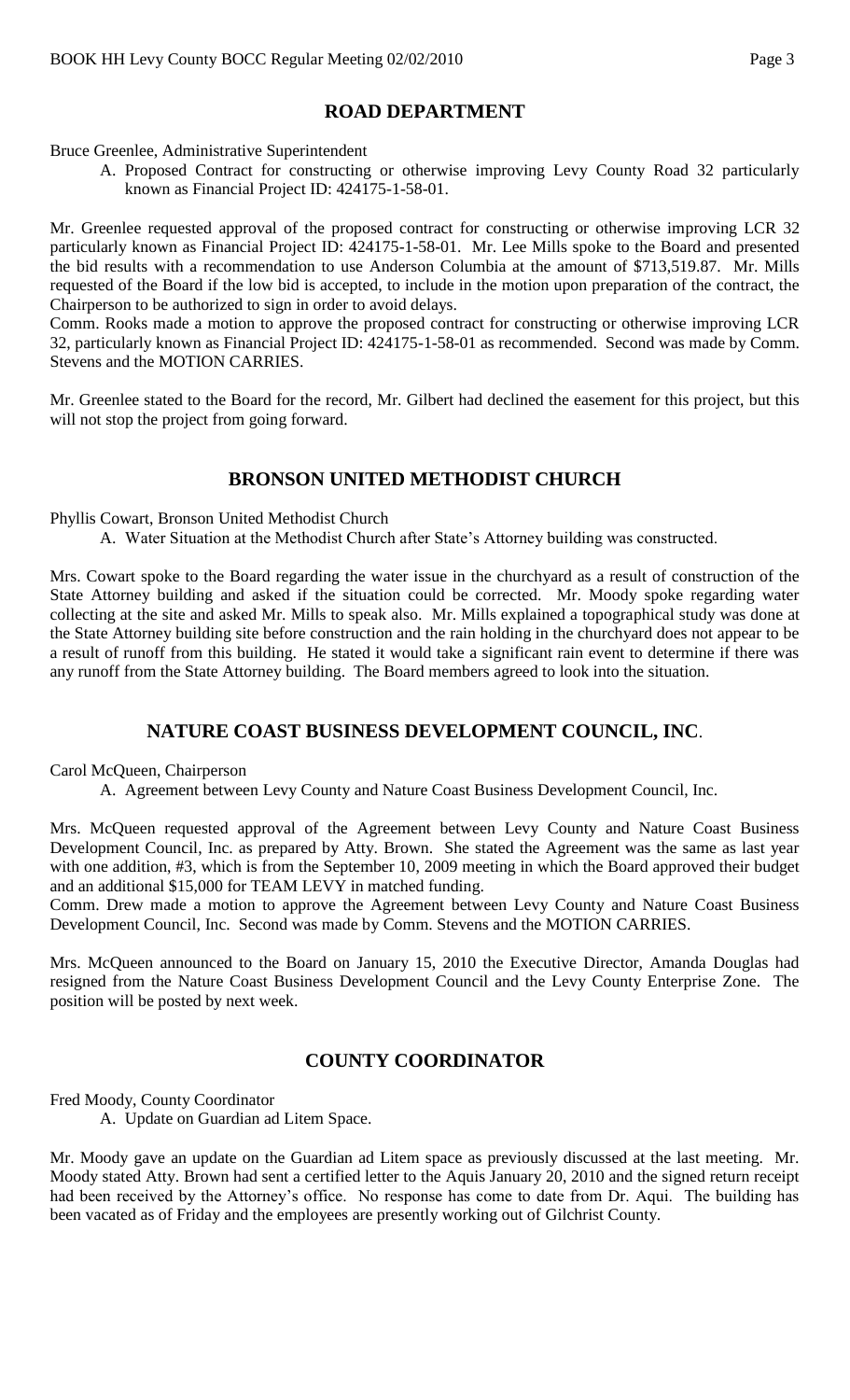# **ROAD DEPARTMENT**

Bruce Greenlee, Administrative Superintendent

A. Proposed Contract for constructing or otherwise improving Levy County Road 32 particularly known as Financial Project ID: 424175-1-58-01.

Mr. Greenlee requested approval of the proposed contract for constructing or otherwise improving LCR 32 particularly known as Financial Project ID: 424175-1-58-01. Mr. Lee Mills spoke to the Board and presented the bid results with a recommendation to use Anderson Columbia at the amount of \$713,519.87. Mr. Mills requested of the Board if the low bid is accepted, to include in the motion upon preparation of the contract, the Chairperson to be authorized to sign in order to avoid delays.

Comm. Rooks made a motion to approve the proposed contract for constructing or otherwise improving LCR 32, particularly known as Financial Project ID: 424175-1-58-01 as recommended. Second was made by Comm. Stevens and the MOTION CARRIES.

Mr. Greenlee stated to the Board for the record, Mr. Gilbert had declined the easement for this project, but this will not stop the project from going forward.

## **BRONSON UNITED METHODIST CHURCH**

Phyllis Cowart, Bronson United Methodist Church

A. Water Situation at the Methodist Church after State's Attorney building was constructed.

Mrs. Cowart spoke to the Board regarding the water issue in the churchyard as a result of construction of the State Attorney building and asked if the situation could be corrected. Mr. Moody spoke regarding water collecting at the site and asked Mr. Mills to speak also. Mr. Mills explained a topographical study was done at the State Attorney building site before construction and the rain holding in the churchyard does not appear to be a result of runoff from this building. He stated it would take a significant rain event to determine if there was any runoff from the State Attorney building. The Board members agreed to look into the situation.

# **NATURE COAST BUSINESS DEVELOPMENT COUNCIL, INC**.

Carol McQueen, Chairperson

A. Agreement between Levy County and Nature Coast Business Development Council, Inc.

Mrs. McQueen requested approval of the Agreement between Levy County and Nature Coast Business Development Council, Inc. as prepared by Atty. Brown. She stated the Agreement was the same as last year with one addition, #3, which is from the September 10, 2009 meeting in which the Board approved their budget and an additional \$15,000 for TEAM LEVY in matched funding.

Comm. Drew made a motion to approve the Agreement between Levy County and Nature Coast Business Development Council, Inc. Second was made by Comm. Stevens and the MOTION CARRIES.

Mrs. McQueen announced to the Board on January 15, 2010 the Executive Director, Amanda Douglas had resigned from the Nature Coast Business Development Council and the Levy County Enterprise Zone. The position will be posted by next week.

## **COUNTY COORDINATOR**

Fred Moody, County Coordinator

A. Update on Guardian ad Litem Space.

Mr. Moody gave an update on the Guardian ad Litem space as previously discussed at the last meeting. Mr. Moody stated Atty. Brown had sent a certified letter to the Aquis January 20, 2010 and the signed return receipt had been received by the Attorney's office. No response has come to date from Dr. Aqui. The building has been vacated as of Friday and the employees are presently working out of Gilchrist County.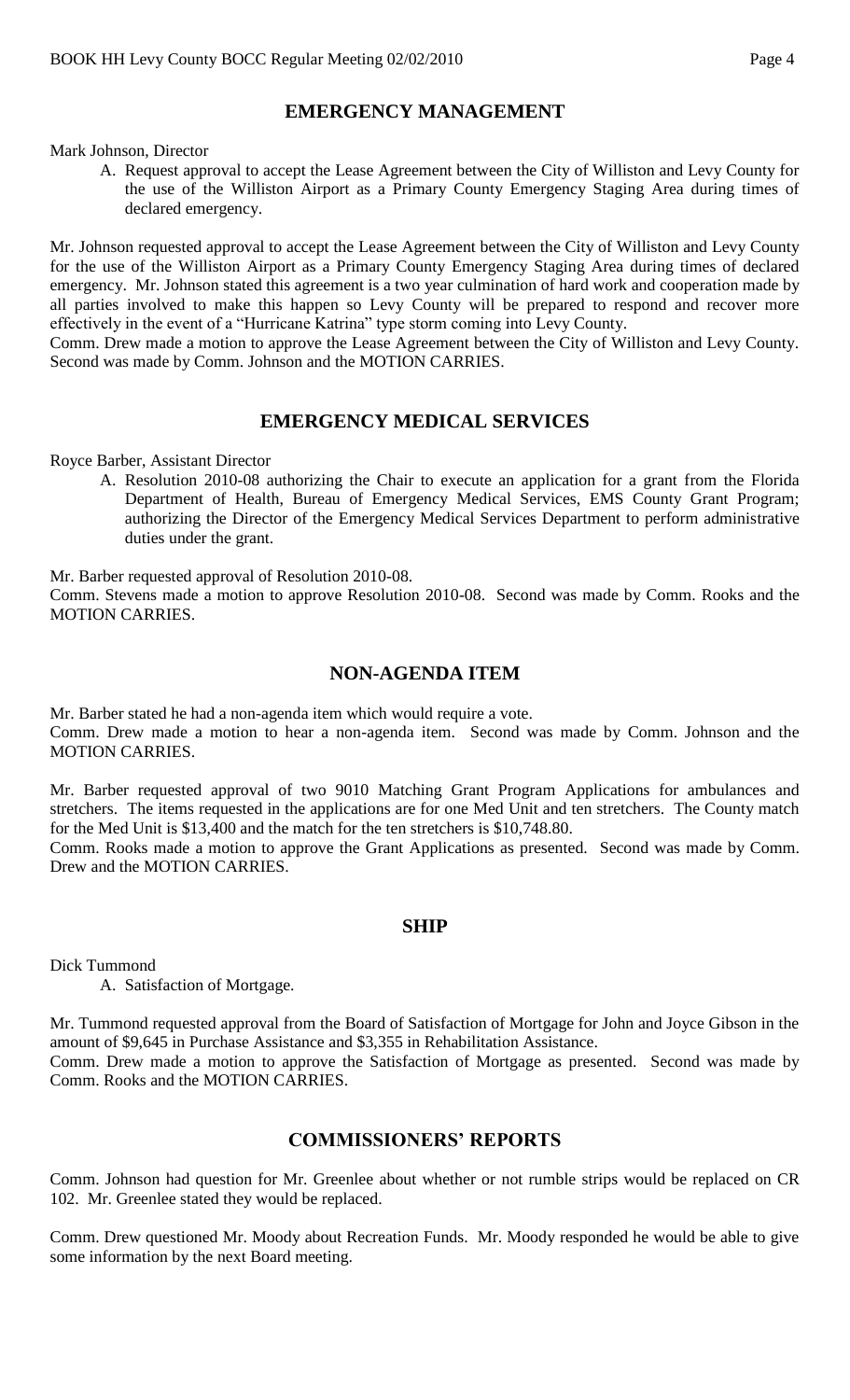# **EMERGENCY MANAGEMENT**

Mark Johnson, Director

A. Request approval to accept the Lease Agreement between the City of Williston and Levy County for the use of the Williston Airport as a Primary County Emergency Staging Area during times of declared emergency.

Mr. Johnson requested approval to accept the Lease Agreement between the City of Williston and Levy County for the use of the Williston Airport as a Primary County Emergency Staging Area during times of declared emergency. Mr. Johnson stated this agreement is a two year culmination of hard work and cooperation made by all parties involved to make this happen so Levy County will be prepared to respond and recover more effectively in the event of a "Hurricane Katrina" type storm coming into Levy County.

Comm. Drew made a motion to approve the Lease Agreement between the City of Williston and Levy County. Second was made by Comm. Johnson and the MOTION CARRIES.

## **EMERGENCY MEDICAL SERVICES**

Royce Barber, Assistant Director

A. Resolution 2010-08 authorizing the Chair to execute an application for a grant from the Florida Department of Health, Bureau of Emergency Medical Services, EMS County Grant Program; authorizing the Director of the Emergency Medical Services Department to perform administrative duties under the grant.

Mr. Barber requested approval of Resolution 2010-08.

Comm. Stevens made a motion to approve Resolution 2010-08. Second was made by Comm. Rooks and the MOTION CARRIES.

#### **NON-AGENDA ITEM**

Mr. Barber stated he had a non-agenda item which would require a vote. Comm. Drew made a motion to hear a non-agenda item. Second was made by Comm. Johnson and the MOTION CARRIES.

Mr. Barber requested approval of two 9010 Matching Grant Program Applications for ambulances and stretchers. The items requested in the applications are for one Med Unit and ten stretchers. The County match for the Med Unit is \$13,400 and the match for the ten stretchers is \$10,748.80.

Comm. Rooks made a motion to approve the Grant Applications as presented. Second was made by Comm. Drew and the MOTION CARRIES.

#### **SHIP**

Dick Tummond

A. Satisfaction of Mortgage.

Mr. Tummond requested approval from the Board of Satisfaction of Mortgage for John and Joyce Gibson in the amount of \$9,645 in Purchase Assistance and \$3,355 in Rehabilitation Assistance.

Comm. Drew made a motion to approve the Satisfaction of Mortgage as presented. Second was made by Comm. Rooks and the MOTION CARRIES.

### **COMMISSIONERS' REPORTS**

Comm. Johnson had question for Mr. Greenlee about whether or not rumble strips would be replaced on CR 102. Mr. Greenlee stated they would be replaced.

Comm. Drew questioned Mr. Moody about Recreation Funds. Mr. Moody responded he would be able to give some information by the next Board meeting.